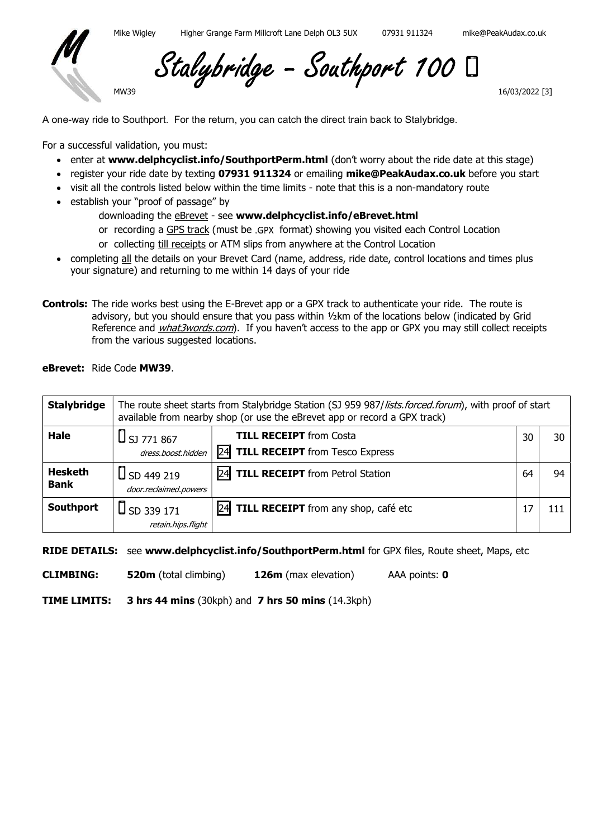

Stalybridge - Southport 100

16/03/2022 [3]

A one-way ride to Southport. For the return, you can catch the direct train back to Stalybridge.

For a successful validation, you must:

MW39

- enter at www.delphcyclist.info/SouthportPerm.html (don't worry about the ride date at this stage)
- register your ride date by texting 07931 911324 or emailing mike@PeakAudax.co.uk before you start
- visit all the controls listed below within the time limits note that this is a non-mandatory route
- establish your "proof of passage" by
	- downloading the **eBrevet** see www.delphcyclist.info/eBrevet.html
	- or recording a GPS track (must be .GPX format) showing you visited each Control Location
	- or collecting till receipts or ATM slips from anywhere at the Control Location
- completing all the details on your Brevet Card (name, address, ride date, control locations and times plus your signature) and returning to me within 14 days of your ride
- Controls: The ride works best using the E-Brevet app or a GPX track to authenticate your ride. The route is advisory, but you should ensure that you pass within ½km of the locations below (indicated by Grid Reference and *what3words.com*). If you haven't access to the app or GPX you may still collect receipts from the various suggested locations.

eBrevet: Ride Code MW39.

| <b>Stalybridge</b>            | The route sheet starts from Stalybridge Station (SJ 959 987/lists.forced.forum), with proof of start<br>available from nearby shop (or use the eBrevet app or record a GPX track) |                                                   |    |     |
|-------------------------------|-----------------------------------------------------------------------------------------------------------------------------------------------------------------------------------|---------------------------------------------------|----|-----|
| Hale                          | $\bigcup$ SJ 771 867                                                                                                                                                              | <b>TILL RECEIPT</b> from Costa                    | 30 | 30  |
|                               | dress.boost.hidden                                                                                                                                                                | <b>TILL RECEIPT</b> from Tesco Express<br>24      |    |     |
| <b>Hesketh</b><br><b>Bank</b> | $\bigcup$ SD 449 219<br>door.reclaimed.powers                                                                                                                                     | <b>TILL RECEIPT</b> from Petrol Station<br>I24I   | 64 | 94  |
| Southport                     | $\bigcup$ SD 339 171                                                                                                                                                              | <b>24</b><br>TILL RECEIPT from any shop, café etc |    | 111 |
|                               | retain.hips.flight                                                                                                                                                                |                                                   |    |     |

RIDE DETAILS: see www.delphcyclist.info/SouthportPerm.html for GPX files, Route sheet, Maps, etc

CLIMBING: 520m (total climbing) 126m (max elevation) AAA points: 0

TIME LIMITS: 3 hrs 44 mins (30kph) and 7 hrs 50 mins (14.3kph)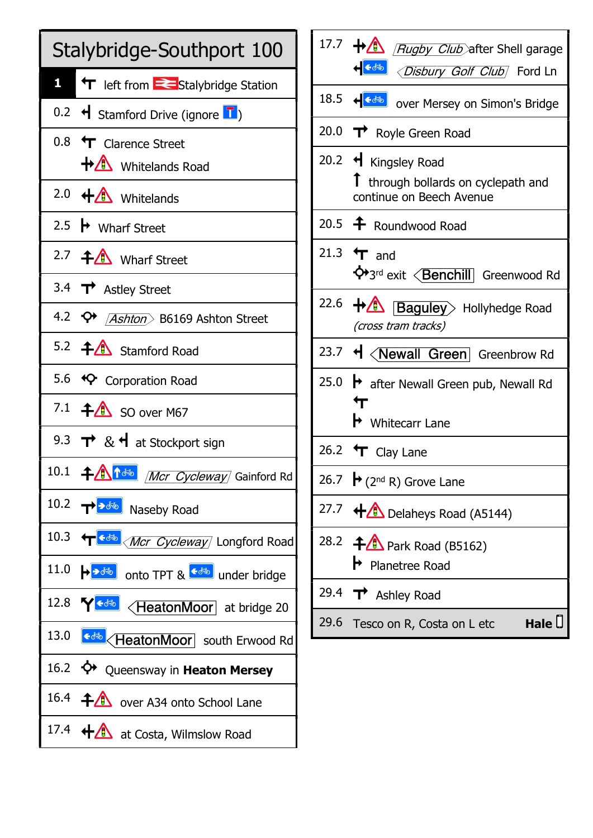

| 17.7 $\bigoplus$ <i>Rugby Club</i> after Shell garage                                                          |  |  |
|----------------------------------------------------------------------------------------------------------------|--|--|
| स <mark>ङ्ख्</mark> जे <i><disbury club<="" golf="" i="">/Ford Ln</disbury></i>                                |  |  |
|                                                                                                                |  |  |
| 20.0 $\rightarrow$ Royle Green Road                                                                            |  |  |
| 20.2 $\triangleleft$ Kingsley Road<br>$\uparrow$ through bollards on cyclepath and<br>continue on Beech Avenue |  |  |
| 20.5 <sup>+</sup> Roundwood Road                                                                               |  |  |
| 21.3 $\textbf{\textsf{t}}$ and<br>◆3rd exit <benchill greenwood="" rd<="" td=""></benchill>                    |  |  |
| 22.6 $\bigoplus$ <b>Baguley</b> Hollyhedge Road<br>(cross tram tracks)                                         |  |  |
| 23.7 H <newall green="" greenbrow="" rd<="" td=""></newall>                                                    |  |  |
| 25.0 $\rightarrow$ after Newall Green pub, Newall Rd<br>$\mathbf \tau$                                         |  |  |
| $\blacktriangleright$ Whitecarr Lane                                                                           |  |  |
| 26.2 $\textbf{\textsf{t}}$ Clay Lane                                                                           |  |  |
| 26.7 $\mathbf{P}$ (2 <sup>nd</sup> R) Grove Lane                                                               |  |  |
| 27.7 $\bigoplus$ Delaheys Road (A5144)                                                                         |  |  |
| 28.2 $\bigoplus$ Park Road (B5162)<br>$\blacktriangleright$ Planetree Road                                     |  |  |
| 29.4 $\rightarrow$ Ashley Road                                                                                 |  |  |
| 29.6 Tesco on R, Costa on L etc<br>Hale $\cup$                                                                 |  |  |